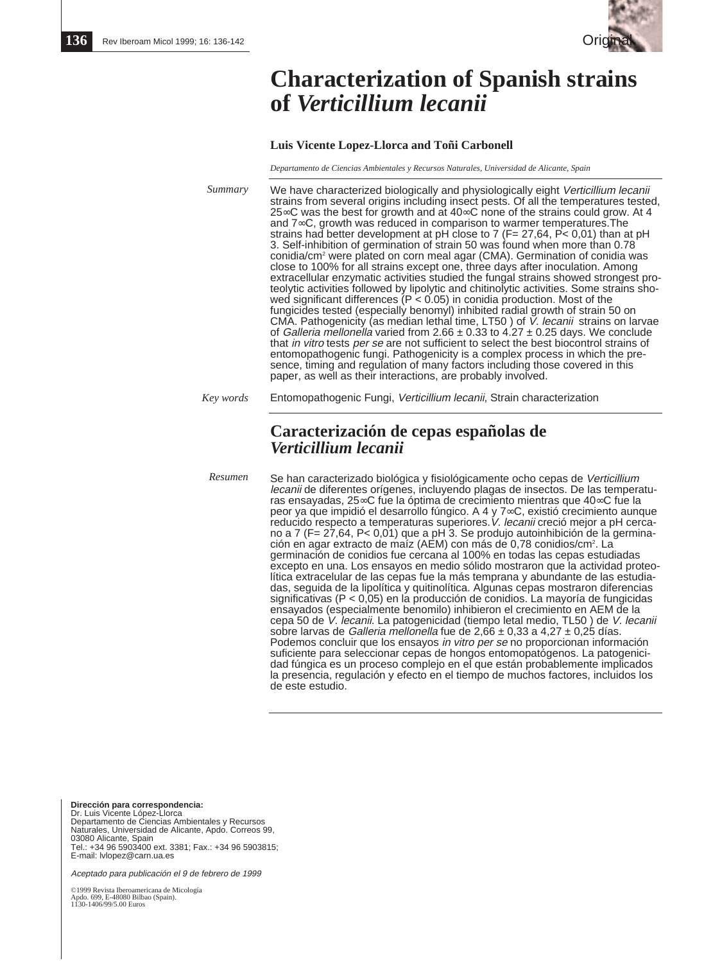

# **Characterization of Spanish strains of** *Verticillium lecanii*

## **Luis Vicente Lopez-Llorca and Toñi Carbonell**

*Departamento de Ciencias Ambientales y Recursos Naturales, Universidad de Alicante, Spain*

| Summary   | We have characterized biologically and physiologically eight Verticillium lecanii<br>strains from several origins including insect pests. Of all the temperatures tested,<br>25∞C was the best for growth and at 40∞C none of the strains could grow. At 4<br>and $7\infty$ C, growth was reduced in comparison to warmer temperatures. The<br>strains had better development at pH close to 7 ( $F = 27,64$ , $P < 0,01$ ) than at pH<br>3. Self-inhibition of germination of strain 50 was found when more than 0.78<br>conidia/cm <sup>2</sup> were plated on corn meal agar (CMA). Germination of conidia was<br>close to 100% for all strains except one, three days after inoculation. Among<br>extracellular enzymatic activities studied the fungal strains showed strongest pro-<br>teolytic activities followed by lipolytic and chitinolytic activities. Some strains sho-<br>wed significant differences ( $P < 0.05$ ) in conidia production. Most of the<br>fungicides tested (especially benomyl) inhibited radial growth of strain 50 on<br>CMA. Pathogenicity (as median lethal time, LT50) of <i>V. lecanii</i> strains on larvae<br>of Galleria mellonella varied from 2.66 $\pm$ 0.33 to 4.27 $\pm$ 0.25 days. We conclude<br>that in vitro tests per se are not sufficient to select the best biocontrol strains of<br>entomopathogenic fungi. Pathogenicity is a complex process in which the pre-<br>sence, timing and regulation of many factors including those covered in this<br>paper, as well as their interactions, are probably involved. |
|-----------|--------------------------------------------------------------------------------------------------------------------------------------------------------------------------------------------------------------------------------------------------------------------------------------------------------------------------------------------------------------------------------------------------------------------------------------------------------------------------------------------------------------------------------------------------------------------------------------------------------------------------------------------------------------------------------------------------------------------------------------------------------------------------------------------------------------------------------------------------------------------------------------------------------------------------------------------------------------------------------------------------------------------------------------------------------------------------------------------------------------------------------------------------------------------------------------------------------------------------------------------------------------------------------------------------------------------------------------------------------------------------------------------------------------------------------------------------------------------------------------------------------------------------------------------------------------------------|
| Key words | Entomopathogenic Fungi, Verticillium lecanii, Strain characterization                                                                                                                                                                                                                                                                                                                                                                                                                                                                                                                                                                                                                                                                                                                                                                                                                                                                                                                                                                                                                                                                                                                                                                                                                                                                                                                                                                                                                                                                                                    |
|           | Caracterización de cepas españolas de<br>Verticillium lecanii                                                                                                                                                                                                                                                                                                                                                                                                                                                                                                                                                                                                                                                                                                                                                                                                                                                                                                                                                                                                                                                                                                                                                                                                                                                                                                                                                                                                                                                                                                            |
| Resumen   | Se han caracterizado biológica y fisiológicamente ocho cenas de Verticillium                                                                                                                                                                                                                                                                                                                                                                                                                                                                                                                                                                                                                                                                                                                                                                                                                                                                                                                                                                                                                                                                                                                                                                                                                                                                                                                                                                                                                                                                                             |

Se han caracterizado biológica y fisiológicamente ocho cepas de Verticillium lecanii de diferentes orígenes, incluyendo plagas de insectos. De las temperaturas ensayadas, 25∞C fue la óptima de crecimiento mientras que 40∞C fue la peor ya que impidió el desarrollo fúngico. A 4 y 7∞C, existió crecimiento aunque reducido respecto a temperaturas superiores. V. lecanii creció mejor a pH cercano a 7 (F= 27,64, P< 0,01) que a pH 3. Se produjo autoinhibición de la germinación en agar extracto de maíz (AEM) con más de 0,78 conidios/cm2 . La germinación de conidios fue cercana al 100% en todas las cepas estudiadas excepto en una. Los ensayos en medio sólido mostraron que la actividad proteolítica extracelular de las cepas fue la más temprana y abundante de las estudiadas, seguida de la lipolítica y quitinolítica. Algunas cepas mostraron diferencias significativas (P < 0,05) en la producción de conidios. La mayoría de fungicidas ensayados (especialmente benomilo) inhibieron el crecimiento en AEM de la cepa 50 de V. lecanii. La patogenicidad (tiempo letal medio, TL50) de V. lecanii sobre larvas de Galleria mellonella fue de 2,66  $\pm$  0,33 a 4,27  $\pm$  0,25 días. Podemos concluir que los ensayos in vitro per se no proporcionan información suficiente para seleccionar cepas de hongos entomopatógenos. La patogenicidad fúngica es un proceso complejo en el que están probablemente implicados la presencia, regulación y efecto en el tiempo de muchos factores, incluidos los de este estudio.

**Dirección para correspondencia:** Dr. Luis Vicente López-Llorca Departamento de Ciencias Ambientales y Recursos Naturales, Universidad de Alicante, Apdo. Correos 99, 03080 Alicante, Spain Tel.: +34 96 5903400 ext. 3381; Fax.: +34 96 5903815; E-mail: lvlopez@carn.ua.es

Aceptado para publicación el 9 de febrero de 1999

©1999 Revista Iberoamericana de Micología Apdo. 699, E-48080 Bilbao (Spain). 1130-1406/99/5.00 Euros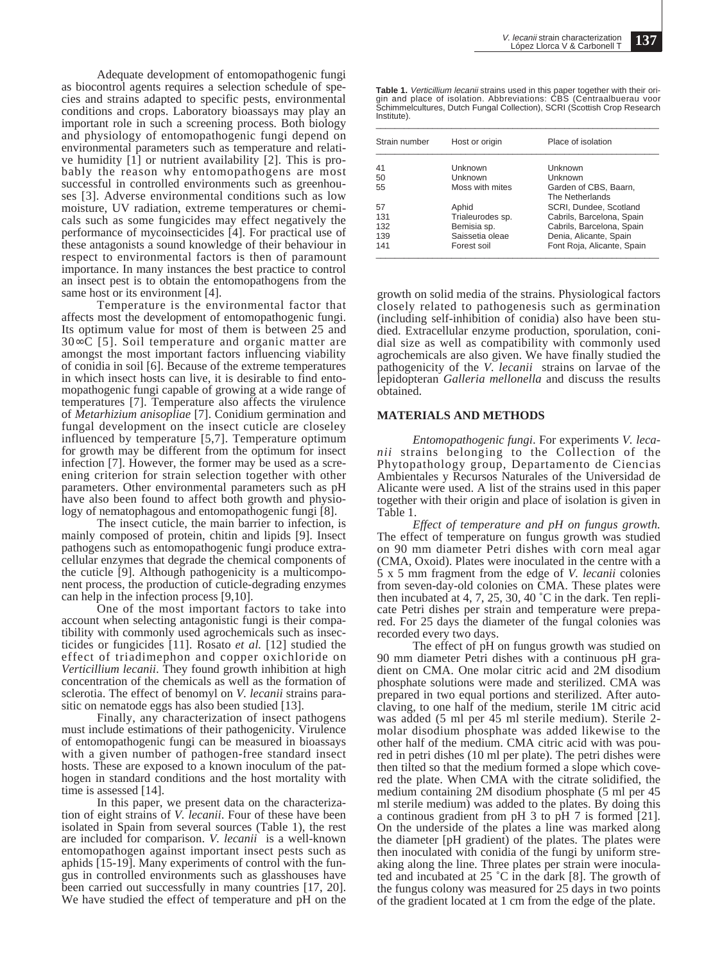Adequate development of entomopathogenic fungi as biocontrol agents requires a selection schedule of species and strains adapted to specific pests, environmental conditions and crops. Laboratory bioassays may play an important role in such a screening process. Both biology and physiology of entomopathogenic fungi depend on environmental parameters such as temperature and relative humidity [1] or nutrient availability [2]. This is probably the reason why entomopathogens are most successful in controlled environments such as greenhouses [3]. Adverse environmental conditions such as low moisture, UV radiation, extreme temperatures or chemicals such as some fungicides may effect negatively the performance of mycoinsecticides [4]. For practical use of these antagonists a sound knowledge of their behaviour in respect to environmental factors is then of paramount importance. In many instances the best practice to control an insect pest is to obtain the entomopathogens from the same host or its environment [4].

Temperature is the environmental factor that affects most the development of entomopathogenic fungi. Its optimum value for most of them is between 25 and 30∞C [5]. Soil temperature and organic matter are amongst the most important factors influencing viability of conidia in soil [6]. Because of the extreme temperatures in which insect hosts can live, it is desirable to find entomopathogenic fungi capable of growing at a wide range of temperatures [7]. Temperature also affects the virulence of *Metarhizium anisopliae* [7]. Conidium germination and fungal development on the insect cuticle are closeley influenced by temperature [5,7]. Temperature optimum for growth may be different from the optimum for insect infection [7]. However, the former may be used as a screening criterion for strain selection together with other parameters. Other environmental parameters such as pH have also been found to affect both growth and physiology of nematophagous and entomopathogenic fungi [8].

The insect cuticle, the main barrier to infection, is mainly composed of protein, chitin and lipids [9]. Insect pathogens such as entomopathogenic fungi produce extracellular enzymes that degrade the chemical components of the cuticle [9]. Although pathogenicity is a multicomponent process, the production of cuticle-degrading enzymes can help in the infection process [9,10].

One of the most important factors to take into account when selecting antagonistic fungi is their compatibility with commonly used agrochemicals such as insecticides or fungicides [11]. Rosato *et al.* [12] studied the effect of triadimephon and copper oxichloride on *Verticillium lecanii*. They found growth inhibition at high concentration of the chemicals as well as the formation of sclerotia. The effect of benomyl on *V. lecanii* strains parasitic on nematode eggs has also been studied [13].

Finally, any characterization of insect pathogens must include estimations of their pathogenicity. Virulence of entomopathogenic fungi can be measured in bioassays with a given number of pathogen-free standard insect hosts. These are exposed to a known inoculum of the pathogen in standard conditions and the host mortality with time is assessed [14].

In this paper, we present data on the characterization of eight strains of *V. lecanii*. Four of these have been isolated in Spain from several sources (Table 1), the rest are included for comparison. *V. lecanii* is a well-known entomopathogen against important insect pests such as aphids [15-19]. Many experiments of control with the fungus in controlled environments such as glasshouses have been carried out successfully in many countries [17, 20]. We have studied the effect of temperature and pH on the

| Table 1. Verticillium lecanii strains used in this paper together with their ori- |  |
|-----------------------------------------------------------------------------------|--|
| gin and place of isolation. Abbreviations: CBS (Centraalbuerau voor               |  |
| Schimmelcultures, Dutch Fungal Collection), SCRI (Scottish Crop Research          |  |
| Institute).                                                                       |  |

| Strain number | Host or origin   | Place of isolation                       |
|---------------|------------------|------------------------------------------|
| 41            | Unknown          | Unknown                                  |
| 50            | Unknown          | Unknown                                  |
| 55            | Moss with mites  | Garden of CBS, Baarn,<br>The Netherlands |
| 57            | Aphid            | SCRI. Dundee. Scotland                   |
| 131           | Trialeurodes sp. | Cabrils, Barcelona, Spain                |
| 132           | Bemisia sp.      | Cabrils, Barcelona, Spain                |
| 139           | Saissetia oleae  | Denia, Alicante, Spain                   |
| 141           | Forest soil      | Font Roja, Alicante, Spain               |

growth on solid media of the strains. Physiological factors closely related to pathogenesis such as germination (including self-inhibition of conidia) also have been studied. Extracellular enzyme production, sporulation, conidial size as well as compatibility with commonly used agrochemicals are also given. We have finally studied the pathogenicity of the *V. lecanii* strains on larvae of the lepidopteran *Galleria mellonella* and discuss the results obtained.

## **MATERIALS AND METHODS**

*Entomopathogenic fungi*. For experiments *V. lecanii* strains belonging to the Collection of the Phytopathology group, Departamento de Ciencias Ambientales y Recursos Naturales of the Universidad de Alicante were used. A list of the strains used in this paper together with their origin and place of isolation is given in Table 1.

*Effect of temperature and pH on fungus growth.* The effect of temperature on fungus growth was studied on 90 mm diameter Petri dishes with corn meal agar (CMA, Oxoid). Plates were inoculated in the centre with a 5 x 5 mm fragment from the edge of *V. lecanii* colonies from seven-day-old colonies on CMA. These plates were then incubated at 4, 7, 25, 30, 40  $^{\circ}$ C in the dark. Ten replicate Petri dishes per strain and temperature were prepared. For 25 days the diameter of the fungal colonies was recorded every two days.

The effect of pH on fungus growth was studied on 90 mm diameter Petri dishes with a continuous pH gradient on CMA. One molar citric acid and 2M disodium phosphate solutions were made and sterilized. CMA was prepared in two equal portions and sterilized. After autoclaving, to one half of the medium, sterile 1M citric acid was added (5 ml per 45 ml sterile medium). Sterile 2 molar disodium phosphate was added likewise to the other half of the medium. CMA citric acid with was poured in petri dishes (10 ml per plate). The petri dishes were then tilted so that the medium formed a slope which covered the plate. When CMA with the citrate solidified, the medium containing 2M disodium phosphate (5 ml per 45 ml sterile medium) was added to the plates. By doing this a continous gradient from pH 3 to pH 7 is formed [21]. On the underside of the plates a line was marked along the diameter [pH gradient) of the plates. The plates were then inoculated with conidia of the fungi by uniform streaking along the line. Three plates per strain were inoculated and incubated at  $25$  °C in the dark [8]. The growth of the fungus colony was measured for 25 days in two points of the gradient located at 1 cm from the edge of the plate.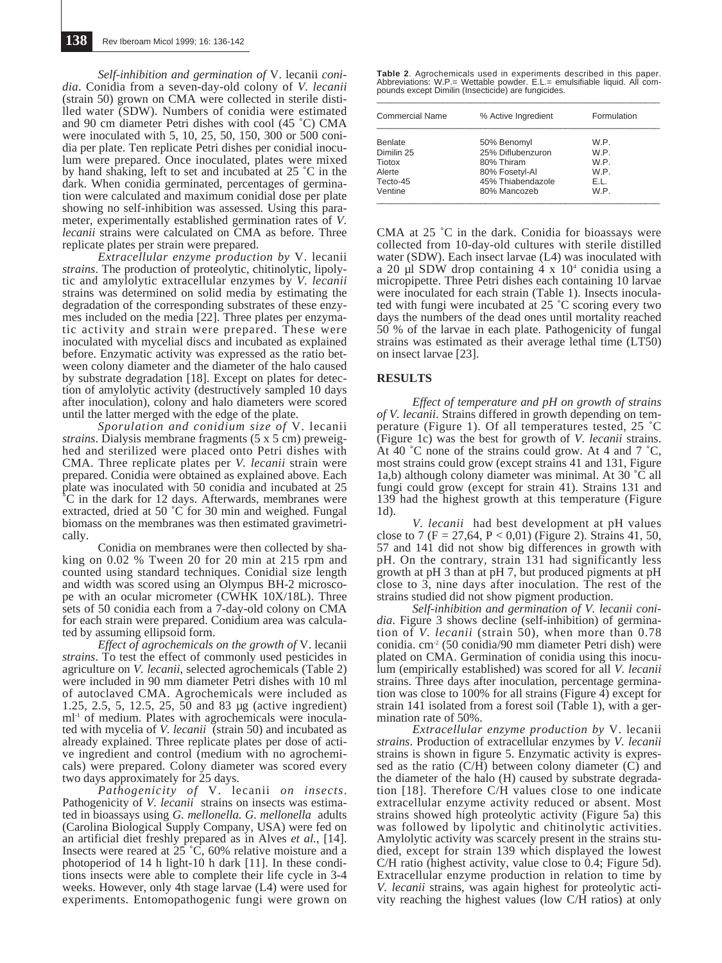*Self-inhibition and germination of* V. lecanii *conidia*. Conidia from a seven-day-old colony of *V. lecanii* (strain 50) grown on CMA were collected in sterile distilled water (SDW). Numbers of conidia were estimated and 90 cm diameter Petri dishes with cool (45 ˚C) CMA were inoculated with 5, 10, 25, 50, 150, 300 or 500 conidia per plate. Ten replicate Petri dishes per conidial inoculum were prepared. Once inoculated, plates were mixed by hand shaking, left to set and incubated at 25 ˚C in the dark. When conidia germinated, percentages of germination were calculated and maximum conidial dose per plate showing no self-inhibition was assessed. Using this parameter, experimentally established germination rates of *V. lecanii* strains were calculated on CMA as before. Three replicate plates per strain were prepared.

*Extracellular enzyme production by* V. lecanii *strains*. The production of proteolytic, chitinolytic, lipolytic and amylolytic extracellular enzymes by *V. lecanii* strains was determined on solid media by estimating the degradation of the corresponding substrates of these enzymes included on the media [22]. Three plates per enzymatic activity and strain were prepared. These were inoculated with mycelial discs and incubated as explained before. Enzymatic activity was expressed as the ratio between colony diameter and the diameter of the halo caused by substrate degradation [18]. Except on plates for detection of amylolytic activity (destructively sampled 10 days after inoculation), colony and halo diameters were scored until the latter merged with the edge of the plate.

*Sporulation and conidium size of* V. lecanii *strains*. Dialysis membrane fragments (5 x 5 cm) preweighed and sterilized were placed onto Petri dishes with CMA. Three replicate plates per *V. lecanii* strain were prepared. Conidia were obtained as explained above. Each plate was inoculated with 50 conidia and incubated at 25 ˚C in the dark for 12 days. Afterwards, membranes were extracted, dried at 50 °C for 30 min and weighed. Fungal biomass on the membranes was then estimated gravimetrically.

Conidia on membranes were then collected by shaking on 0.02 % Tween 20 for 20 min at 215 rpm and counted using standard techniques. Conidial size length and width was scored using an Olympus BH-2 microscope with an ocular micrometer (CWHK 10X/18L). Three sets of 50 conidia each from a 7-day-old colony on CMA for each strain were prepared. Conidium area was calculated by assuming ellipsoid form.

*Effect of agrochemicals on the growth of* V. lecanii *strains*. To test the effect of commonly used pesticides in agriculture on *V. lecanii*, selected agrochemicals (Table 2) were included in 90 mm diameter Petri dishes with 10 ml of autoclaved CMA. Agrochemicals were included as 1.25, 2.5, 5, 12.5, 25, 50 and 83 µg (active ingredient) ml<sup>-1</sup> of medium. Plates with agrochemicals were inoculated with mycelia of *V. lecanii* (strain 50) and incubated as already explained. Three replicate plates per dose of active ingredient and control (medium with no agrochemicals) were prepared. Colony diameter was scored every two days approximately for 25 days.

*Pathogenicity of* V. lecanii *on insects*. Pathogenicity of *V. lecanii* strains on insects was estimated in bioassays using *G. mellonella. G. mellonella* adults (Carolina Biological Supply Company, USA) were fed on an artificial diet freshly prepared as in Alves *et al.*, [14]. Insects were reared at  $25\textdegree\textdegree C$ , 60% relative moisture and a photoperiod of 14 h light-10 h dark [11]. In these conditions insects were able to complete their life cycle in 3-4 weeks. However, only 4th stage larvae (L4) were used for experiments. Entomopathogenic fungi were grown on

**Table 2**. Agrochemicals used in experiments described in this paper. Abbreviations: W.P.= Wettable powder. E.L.= emulsifiable liquid. All compounds except Dimilin (Insecticide) are fungicides.

| <b>Commercial Name</b> | % Active Ingredient | Formulation |  |
|------------------------|---------------------|-------------|--|
| <b>Benlate</b>         | 50% Benomyl         | W.P.        |  |
| Dimilin 25             | 25% Diflubenzuron   | W.P.        |  |
| Tiotox                 | 80% Thiram          | W.P.        |  |
| Alerte                 | 80% Fosetyl-Al      | W.P.        |  |
| Tecto-45               | 45% Thiabendazole   | E.L.        |  |
| Ventine                | 80% Mancozeb        | W.P.        |  |

CMA at 25 ˚C in the dark. Conidia for bioassays were collected from 10-day-old cultures with sterile distilled water (SDW). Each insect larvae (L4) was inoculated with a 20 µl SDW drop containing  $4 \times 10^4$  conidia using a micropipette. Three Petri dishes each containing 10 larvae were inoculated for each strain (Table 1). Insects inoculated with fungi were incubated at 25 ˚C scoring every two days the numbers of the dead ones until mortality reached 50 % of the larvae in each plate. Pathogenicity of fungal strains was estimated as their average lethal time (LT50) on insect larvae [23].

## **RESULTS**

*Effect of temperature and pH on growth of strains of V. lecanii*. Strains differed in growth depending on temperature (Figure 1). Of all temperatures tested, 25 ˚C (Figure 1c) was the best for growth of *V. lecanii* strains. At 40  $\degree$ C none of the strains could grow. At 4 and 7  $\degree$ C, most strains could grow (except strains 41 and 131, Figure 1a,b) although colony diameter was minimal. At 30 ˚C all fungi could grow (except for strain 41). Strains 131 and 139 had the highest growth at this temperature (Figure 1d).

*V. lecanii* had best development at pH values close to 7 (F = 27,64, P < 0,01) (Figure 2). Strains 41, 50, 57 and 141 did not show big differences in growth with pH. On the contrary, strain 131 had significantly less growth at pH 3 than at pH 7, but produced pigments at pH close to 3, nine days after inoculation. The rest of the strains studied did not show pigment production.

*Self-inhibition and germination of V. lecanii conidia*. Figure 3 shows decline (self-inhibition) of germination of *V. lecanii* (strain 50), when more than 0.78 conidia. cm-2 (50 conidia/90 mm diameter Petri dish) were plated on CMA. Germination of conidia using this inoculum (empirically established) was scored for all *V. lecanii* strains. Three days after inoculation, percentage germination was close to 100% for all strains (Figure 4) except for strain 141 isolated from a forest soil (Table 1), with a germination rate of 50%.

*Extracellular enzyme production by* V. lecanii *strains*. Production of extracellular enzymes by *V. lecanii* strains is shown in figure 5. Enzymatic activity is expressed as the ratio (C/H) between colony diameter (C) and the diameter of the halo (H) caused by substrate degradation [18]. Therefore C/H values close to one indicate extracellular enzyme activity reduced or absent. Most strains showed high proteolytic activity (Figure 5a) this was followed by lipolytic and chitinolytic activities. Amylolytic activity was scarcely present in the strains studied, except for strain 139 which displayed the lowest C/H ratio (highest activity, value close to 0.4; Figure 5d). Extracellular enzyme production in relation to time by *V. lecanii* strains, was again highest for proteolytic activity reaching the highest values (low C/H ratios) at only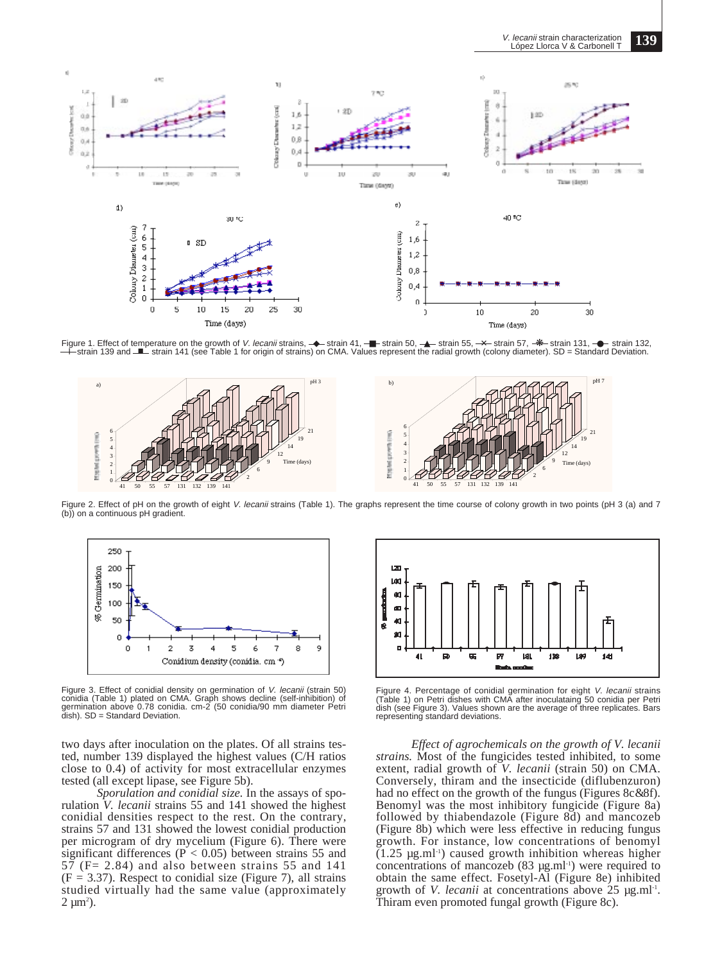V. lecanii strain characterization López Llorca V & Carbonell T **139**



Figure 1. Effect of temperature on the growth of V. lecanii strains, → strain 41, –■ strain 50, –▲ strain 55, –米 strain 57, –米 strain 131, –● strain 132, l strain 139 and ■ strain 141 (see Table 1 for origin of strains) on CMA. Values represent the radial growth (colony diameter). SD = Standard Deviation.



Figure 2. Effect of pH on the growth of eight V. lecanii strains (Table 1). The graphs represent the time course of colony growth in two points (pH 3 (a) and 7 (b)) on a continuous pH gradient.



Figure 3. Effect of conidial density on germination of *V. lecanii* (strain 50)<br>conidia (Table 1) plated on CMA. Graph shows decline (self-inhibition) of germination above 0.78 conidia. cm-2 (50 conidia/90 mm diameter Petri dish). SD = Standard Deviation.

two days after inoculation on the plates. Of all strains tested, number 139 displayed the highest values (C/H ratios close to 0.4) of activity for most extracellular enzymes tested (all except lipase, see Figure 5b).

*Sporulation and conidial size.* In the assays of sporulation *V. lecanii* strains 55 and 141 showed the highest conidial densities respect to the rest. On the contrary, strains 57 and 131 showed the lowest conidial production per microgram of dry mycelium (Figure 6). There were significant differences ( $P < 0.05$ ) between strains 55 and  $57$  (F= 2.84) and also between strains 55 and 141  $(F = 3.37)$ . Respect to conidial size (Figure 7), all strains studied virtually had the same value (approximately  $2 \mu m^2$ ).



Figure 4. Percentage of conidial germination for eight *V. lecanii* strains<br>(Table 1) on Petri dishes with CMA after inoculataing 50 conidia per Petri dish (see Figure 3). Values shown are the average of three replicates. Bars representing standard deviations.

*Effect of agrochemicals on the growth of V. lecanii strains.* Most of the fungicides tested inhibited, to some extent, radial growth of *V. lecanii* (strain 50) on CMA. Conversely, thiram and the insecticide (diflubenzuron) had no effect on the growth of the fungus (Figures 8c&8f). Benomyl was the most inhibitory fungicide (Figure 8a) followed by thiabendazole (Figure 8d) and mancozeb (Figure 8b) which were less effective in reducing fungus growth. For instance, low concentrations of benomyl  $(1.25 \text{ µg.ml}^{-1})$  caused growth inhibition whereas higher concentrations of mancozeb  $(83 \mu g.m<sup>11</sup>)$  were required to obtain the same effect. Fosetyl-Al (Figure 8e) inhibited growth of *V. lecanii* at concentrations above 25 µg.ml<sup>-1</sup>. Thiram even promoted fungal growth (Figure 8c).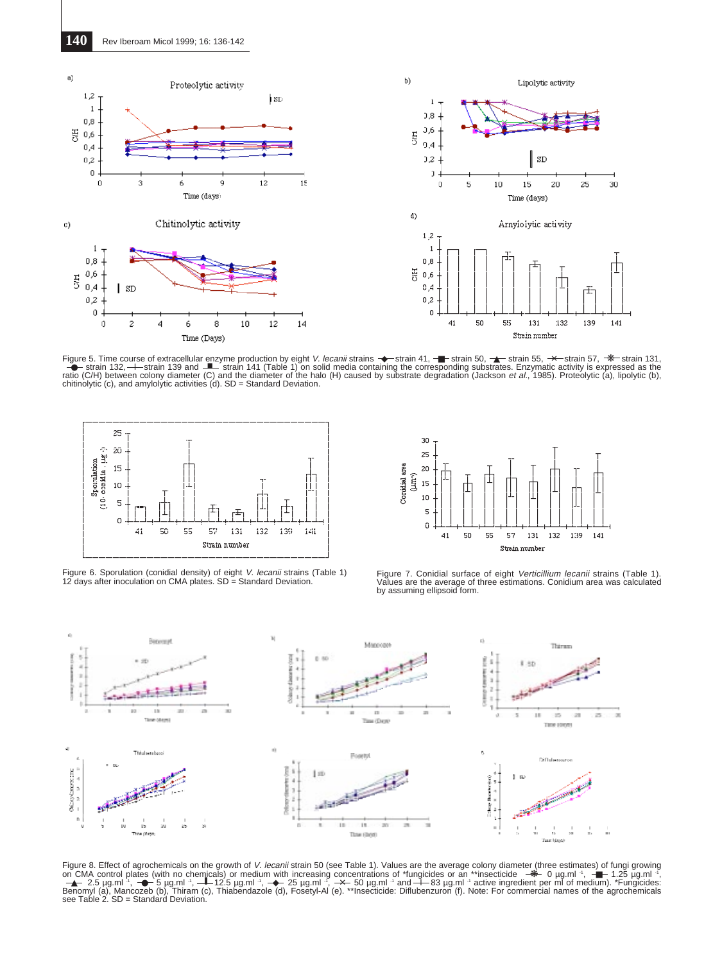

Figure 5. Time course of extracellular enzyme production by eight *V. lecanii* strains  $\rightarrow$  strain 41,  $\rightarrow$  strain 50,  $\rightarrow$  strain 55,  $\rightarrow$  strain 57,  $\rightarrow$  strain 131,  $\rightarrow$  strain 131,  $\rightarrow$  strain 139 and  $\rightarrow$  strain 141 ( chitinolytic (c), and amylolytic activities (d). SD = Standard Deviation.



Figure 6. Sporulation (conidial density) of eight *V. lecanii* strains (Table 1)<br>12 days after inoculation on CMA plates. SD = Standard Deviation.



Figure 7. Conidial surface of eight Verticillium lecanii strains (Table 1). Values are the average of three estimations. Conidium area was calculated by assuming ellipsoid form.



Figure 8. Effect of agrochemicals on the growth of *V. lecanii* strain 50 (see Table 1). Values are the average colony diameter (three estimates) of fungi growing<br>on CMA control plates (with no chemicals) or medium with i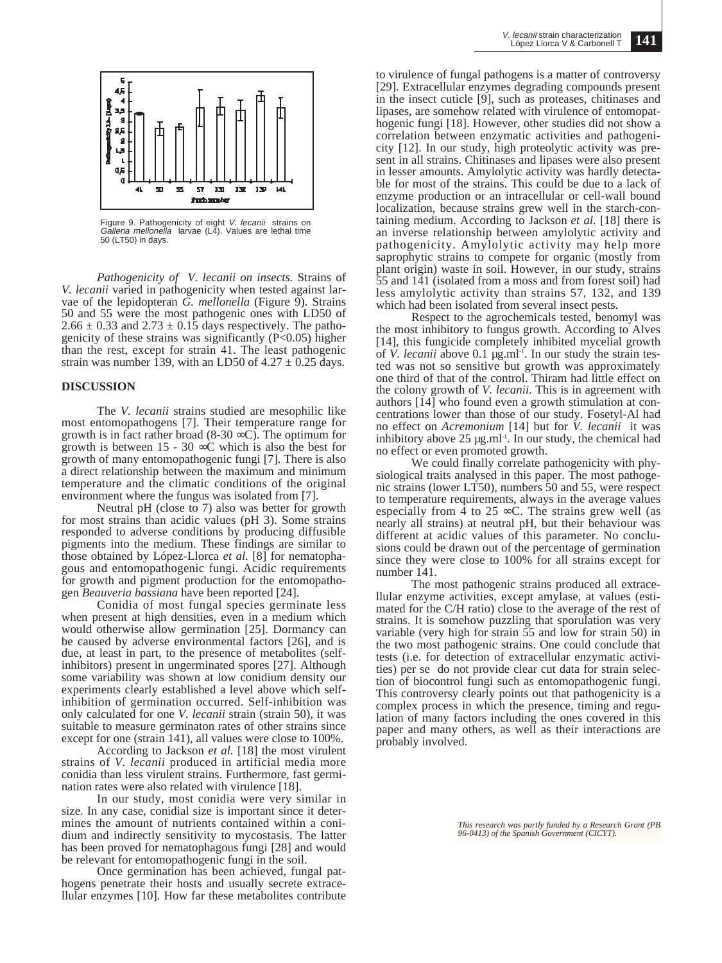

Figure 9. Pathogenicity of eight V. lecanii strains on Galleria mellonella larvae (L4). Values are lethal time 50 (LT50) in days.

*Pathogenicity of V. lecanii on insects.* Strains of *V. lecanii* varied in pathogenicity when tested against larvae of the lepidopteran *G. mellonella* (Figure 9). Strains 50 and 55 were the most pathogenic ones with LD50 of  $2.66 \pm 0.33$  and  $2.73 \pm 0.15$  days respectively. The pathogenicity of these strains was significantly  $(P<0.05)$  higher than the rest, except for strain 41. The least pathogenic strain was number 139, with an LD50 of  $4.27 \pm 0.25$  days.

#### **DISCUSSION**

The *V. lecanii* strains studied are mesophilic like most entomopathogens [7]. Their temperature range for growth is in fact rather broad (8-30  $\infty$ C). The optimum for growth is between 15 - 30  $\infty$ C which is also the best for growth of many entomopathogenic fungi [7]. There is also a direct relationship between the maximum and minimum temperature and the climatic conditions of the original environment where the fungus was isolated from [7].

Neutral pH (close to 7) also was better for growth for most strains than acidic values (pH 3). Some strains responded to adverse conditions by producing diffusible pigments into the medium. These findings are similar to those obtained by López-Llorca *et al.* [8] for nematophagous and entomopathogenic fungi. Acidic requirements for growth and pigment production for the entomopathogen *Beauveria bassiana* have been reported [24].

Conidia of most fungal species germinate less when present at high densities, even in a medium which would otherwise allow germination [25]. Dormancy can be caused by adverse environmental factors [26], and is due, at least in part, to the presence of metabolites (selfinhibitors) present in ungerminated spores [27]. Although some variability was shown at low conidium density our experiments clearly established a level above which selfinhibition of germination occurred. Self-inhibition was only calculated for one *V. lecanii* strain (strain 50), it was suitable to measure germinaton rates of other strains since except for one (strain 141), all values were close to 100%.

According to Jackson *et al.* [18] the most virulent strains of *V. lecanii* produced in artificial media more conidia than less virulent strains. Furthermore, fast germination rates were also related with virulence [18].

In our study, most conidia were very similar in size. In any case, conidial size is important since it determines the amount of nutrients contained within a conidium and indirectly sensitivity to mycostasis. The latter has been proved for nematophagous fungi [28] and would be relevant for entomopathogenic fungi in the soil.

Once germination has been achieved, fungal pathogens penetrate their hosts and usually secrete extracellular enzymes [10]. How far these metabolites contribute to virulence of fungal pathogens is a matter of controversy [29]. Extracellular enzymes degrading compounds present in the insect cuticle [9], such as proteases, chitinases and lipases, are somehow related with virulence of entomopathogenic fungi [18]. However, other studies did not show a correlation between enzymatic activities and pathogenicity [12]. In our study, high proteolytic activity was present in all strains. Chitinases and lipases were also present in lesser amounts. Amylolytic activity was hardly detectable for most of the strains. This could be due to a lack of enzyme production or an intracellular or cell-wall bound localization, because strains grew well in the starch-containing medium. According to Jackson *et al.* [18] there is an inverse relationship between amylolytic activity and pathogenicity. Amylolytic activity may help more saprophytic strains to compete for organic (mostly from plant origin) waste in soil. However, in our study, strains 55 and 141 (isolated from a moss and from forest soil) had less amylolytic activity than strains 57, 132, and 139 which had been isolated from several insect pests.

Respect to the agrochemicals tested, benomyl was the most inhibitory to fungus growth. According to Alves [14], this fungicide completely inhibited mycelial growth of *V. lecanii* above 0.1 µg.ml-1. In our study the strain tested was not so sensitive but growth was approximately one third of that of the control. Thiram had little effect on the colony growth of *V. lecanii*. This is in agreement with authors [14] who found even a growth stimulation at concentrations lower than those of our study. Fosetyl-Al had no effect on *Acremonium* [14] but for *V. lecanii* it was inhibitory above  $25 \mu g$ .ml<sup>-1</sup>. In our study, the chemical had no effect or even promoted growth.

We could finally correlate pathogenicity with physiological traits analysed in this paper. The most pathogenic strains (lower LT50), numbers 50 and 55, were respect to temperature requirements, always in the average values especially from  $\frac{1}{4}$  to 25  $\infty$ C. The strains grew well (as nearly all strains) at neutral pH, but their behaviour was different at acidic values of this parameter. No conclusions could be drawn out of the percentage of germination since they were close to 100% for all strains except for number 141.

The most pathogenic strains produced all extracellular enzyme activities, except amylase, at values (estimated for the C/H ratio) close to the average of the rest of strains. It is somehow puzzling that sporulation was very variable (very high for strain 55 and low for strain 50) in the two most pathogenic strains. One could conclude that tests (i.e. for detection of extracellular enzymatic activities) per se do not provide clear cut data for strain selection of biocontrol fungi such as entomopathogenic fungi. This controversy clearly points out that pathogenicity is a complex process in which the presence, timing and regulation of many factors including the ones covered in this paper and many others, as well as their interactions are probably involved.

*This research was partly funded by a Research Grant (PB 96-0413) of the Spanish Government (CICYT).*